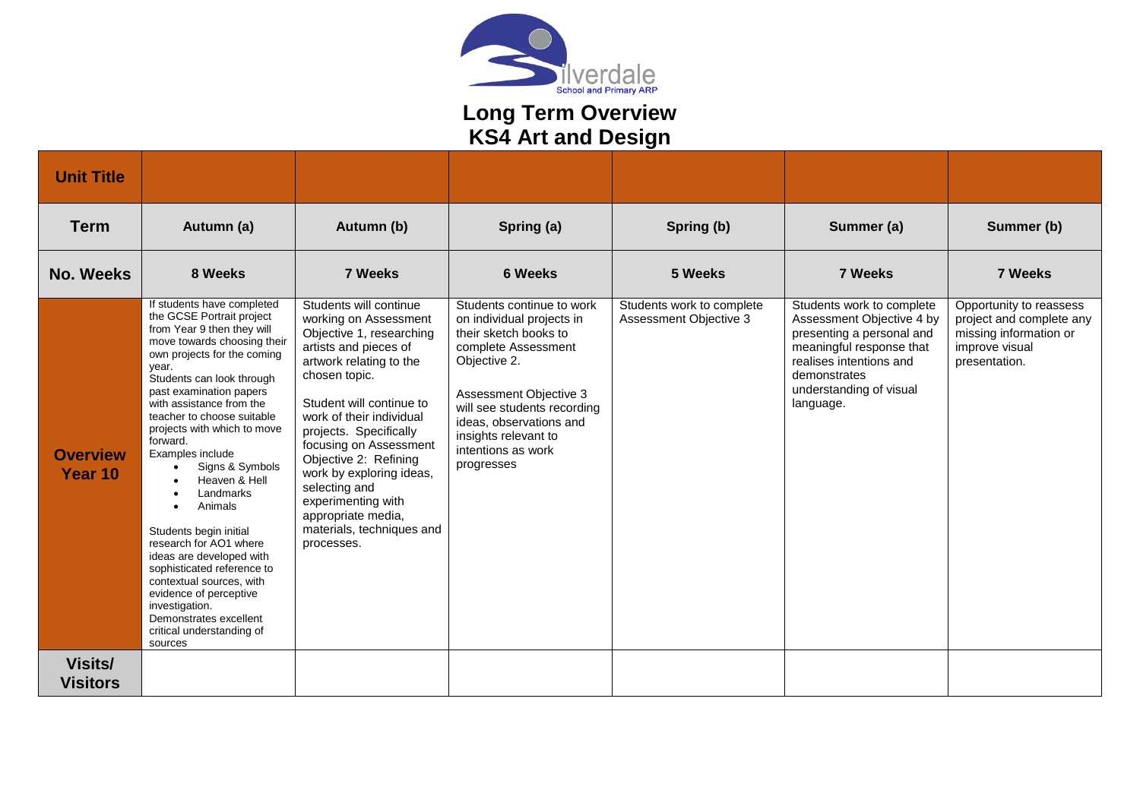

## **Long Term Overview KS4 Art and Design**

| <b>Unit Title</b>                 |                                                                                                                                                                                                                                                                                                                                                                                                                                                                                                                                                                                                                                                                                |                                                                                                                                                                                                                                                                                                                                                                                                                           |                                                                                                                                                                                                                                                                        |                                                     |                                                                                                                                                                                                    |                                                                                                                  |
|-----------------------------------|--------------------------------------------------------------------------------------------------------------------------------------------------------------------------------------------------------------------------------------------------------------------------------------------------------------------------------------------------------------------------------------------------------------------------------------------------------------------------------------------------------------------------------------------------------------------------------------------------------------------------------------------------------------------------------|---------------------------------------------------------------------------------------------------------------------------------------------------------------------------------------------------------------------------------------------------------------------------------------------------------------------------------------------------------------------------------------------------------------------------|------------------------------------------------------------------------------------------------------------------------------------------------------------------------------------------------------------------------------------------------------------------------|-----------------------------------------------------|----------------------------------------------------------------------------------------------------------------------------------------------------------------------------------------------------|------------------------------------------------------------------------------------------------------------------|
| <b>Term</b>                       | Autumn (a)                                                                                                                                                                                                                                                                                                                                                                                                                                                                                                                                                                                                                                                                     | Autumn (b)                                                                                                                                                                                                                                                                                                                                                                                                                | Spring (a)                                                                                                                                                                                                                                                             | Spring (b)                                          | Summer (a)                                                                                                                                                                                         | Summer (b)                                                                                                       |
| <b>No. Weeks</b>                  | 8 Weeks                                                                                                                                                                                                                                                                                                                                                                                                                                                                                                                                                                                                                                                                        | <b>7 Weeks</b>                                                                                                                                                                                                                                                                                                                                                                                                            | <b>6 Weeks</b>                                                                                                                                                                                                                                                         | 5 Weeks                                             | <b>7 Weeks</b>                                                                                                                                                                                     | 7 Weeks                                                                                                          |
| <b>Overview</b><br>Year 10        | If students have completed<br>the GCSE Portrait project<br>from Year 9 then they will<br>move towards choosing their<br>own projects for the coming<br>year.<br>Students can look through<br>past examination papers<br>with assistance from the<br>teacher to choose suitable<br>projects with which to move<br>forward.<br>Examples include<br>Signs & Symbols<br>Heaven & Hell<br>Landmarks<br>Animals<br>$\bullet$<br>Students begin initial<br>research for AO1 where<br>ideas are developed with<br>sophisticated reference to<br>contextual sources, with<br>evidence of perceptive<br>investigation.<br>Demonstrates excellent<br>critical understanding of<br>sources | Students will continue<br>working on Assessment<br>Objective 1, researching<br>artists and pieces of<br>artwork relating to the<br>chosen topic.<br>Student will continue to<br>work of their individual<br>projects. Specifically<br>focusing on Assessment<br>Objective 2: Refining<br>work by exploring ideas,<br>selecting and<br>experimenting with<br>appropriate media,<br>materials, techniques and<br>processes. | Students continue to work<br>on individual projects in<br>their sketch books to<br>complete Assessment<br>Objective 2.<br>Assessment Objective 3<br>will see students recording<br>ideas, observations and<br>insights relevant to<br>intentions as work<br>progresses | Students work to complete<br>Assessment Objective 3 | Students work to complete<br>Assessment Objective 4 by<br>presenting a personal and<br>meaningful response that<br>realises intentions and<br>demonstrates<br>understanding of visual<br>language. | Opportunity to reassess<br>project and complete any<br>missing information or<br>improve visual<br>presentation. |
| <b>Visits/</b><br><b>Visitors</b> |                                                                                                                                                                                                                                                                                                                                                                                                                                                                                                                                                                                                                                                                                |                                                                                                                                                                                                                                                                                                                                                                                                                           |                                                                                                                                                                                                                                                                        |                                                     |                                                                                                                                                                                                    |                                                                                                                  |